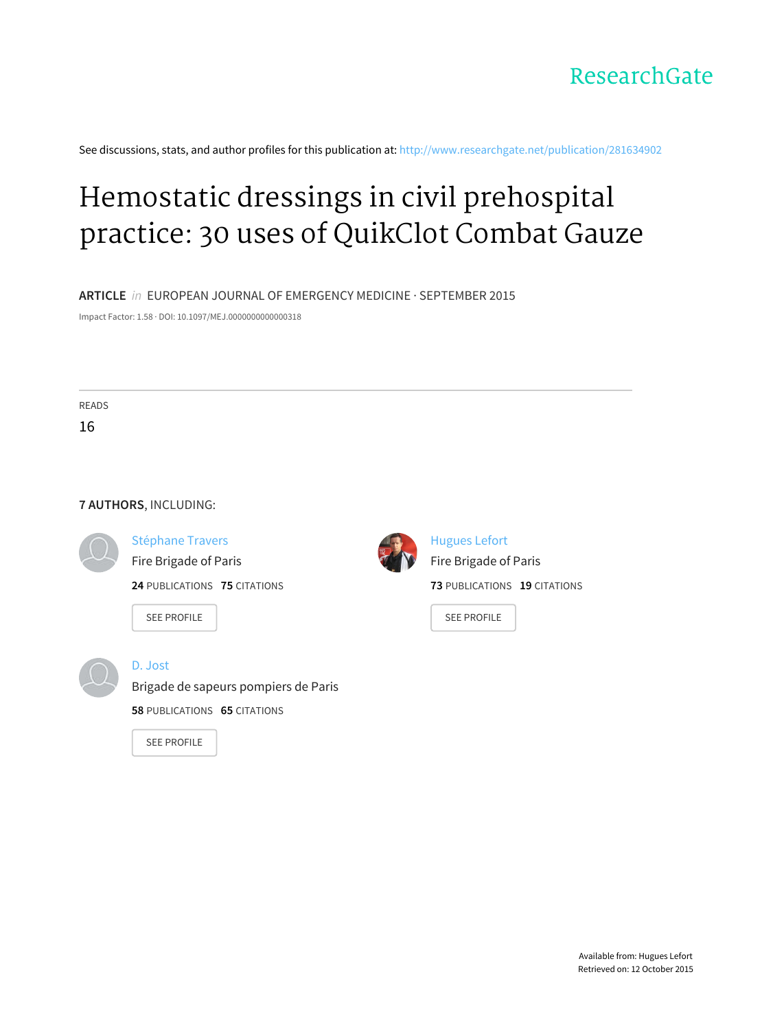

See discussions, stats, and author profiles for this publication at: [http://www.researchgate.net/publication/281634902](http://www.researchgate.net/publication/281634902_Hemostatic_dressings_in_civil_prehospital_practice_30_uses_of_QuikClot_Combat_Gauze?enrichId=rgreq-b62d3130-657d-4b9f-9caa-111803eb0c5b&enrichSource=Y292ZXJQYWdlOzI4MTYzNDkwMjtBUzoyODIxODU5NzUyNTUwNDRAMTQ0NDI4OTc4NzIwMQ%3D%3D&el=1_x_2)

# [Hemostatic](http://www.researchgate.net/publication/281634902_Hemostatic_dressings_in_civil_prehospital_practice_30_uses_of_QuikClot_Combat_Gauze?enrichId=rgreq-b62d3130-657d-4b9f-9caa-111803eb0c5b&enrichSource=Y292ZXJQYWdlOzI4MTYzNDkwMjtBUzoyODIxODU5NzUyNTUwNDRAMTQ0NDI4OTc4NzIwMQ%3D%3D&el=1_x_3) dressings in civil prehospital practice: 30 uses of QuikClot Combat Gauze

**ARTICLE** in EUROPEAN JOURNAL OF EMERGENCY MEDICINE · SEPTEMBER 2015

Impact Factor: 1.58 · DOI: 10.1097/MEJ.0000000000000318

READS 16

#### **7 AUTHORS**, INCLUDING:



## [Stéphane](http://www.researchgate.net/profile/Stephane_Travers?enrichId=rgreq-b62d3130-657d-4b9f-9caa-111803eb0c5b&enrichSource=Y292ZXJQYWdlOzI4MTYzNDkwMjtBUzoyODIxODU5NzUyNTUwNDRAMTQ0NDI4OTc4NzIwMQ%3D%3D&el=1_x_5) Travers

Fire Brigade of Paris **24** PUBLICATIONS **75** CITATIONS

SEE [PROFILE](http://www.researchgate.net/profile/Stephane_Travers?enrichId=rgreq-b62d3130-657d-4b9f-9caa-111803eb0c5b&enrichSource=Y292ZXJQYWdlOzI4MTYzNDkwMjtBUzoyODIxODU5NzUyNTUwNDRAMTQ0NDI4OTc4NzIwMQ%3D%3D&el=1_x_7)



#### D. [Jost](http://www.researchgate.net/profile/D_Jost?enrichId=rgreq-b62d3130-657d-4b9f-9caa-111803eb0c5b&enrichSource=Y292ZXJQYWdlOzI4MTYzNDkwMjtBUzoyODIxODU5NzUyNTUwNDRAMTQ0NDI4OTc4NzIwMQ%3D%3D&el=1_x_5)

Brigade de sapeurs pompiers de Paris **58** PUBLICATIONS **65** CITATIONS

SEE [PROFILE](http://www.researchgate.net/profile/D_Jost?enrichId=rgreq-b62d3130-657d-4b9f-9caa-111803eb0c5b&enrichSource=Y292ZXJQYWdlOzI4MTYzNDkwMjtBUzoyODIxODU5NzUyNTUwNDRAMTQ0NDI4OTc4NzIwMQ%3D%3D&el=1_x_7)



[Hugues](http://www.researchgate.net/profile/Hugues_Lefort?enrichId=rgreq-b62d3130-657d-4b9f-9caa-111803eb0c5b&enrichSource=Y292ZXJQYWdlOzI4MTYzNDkwMjtBUzoyODIxODU5NzUyNTUwNDRAMTQ0NDI4OTc4NzIwMQ%3D%3D&el=1_x_5) Lefort Fire Brigade of Paris **73** PUBLICATIONS **19** CITATIONS

SEE [PROFILE](http://www.researchgate.net/profile/Hugues_Lefort?enrichId=rgreq-b62d3130-657d-4b9f-9caa-111803eb0c5b&enrichSource=Y292ZXJQYWdlOzI4MTYzNDkwMjtBUzoyODIxODU5NzUyNTUwNDRAMTQ0NDI4OTc4NzIwMQ%3D%3D&el=1_x_7)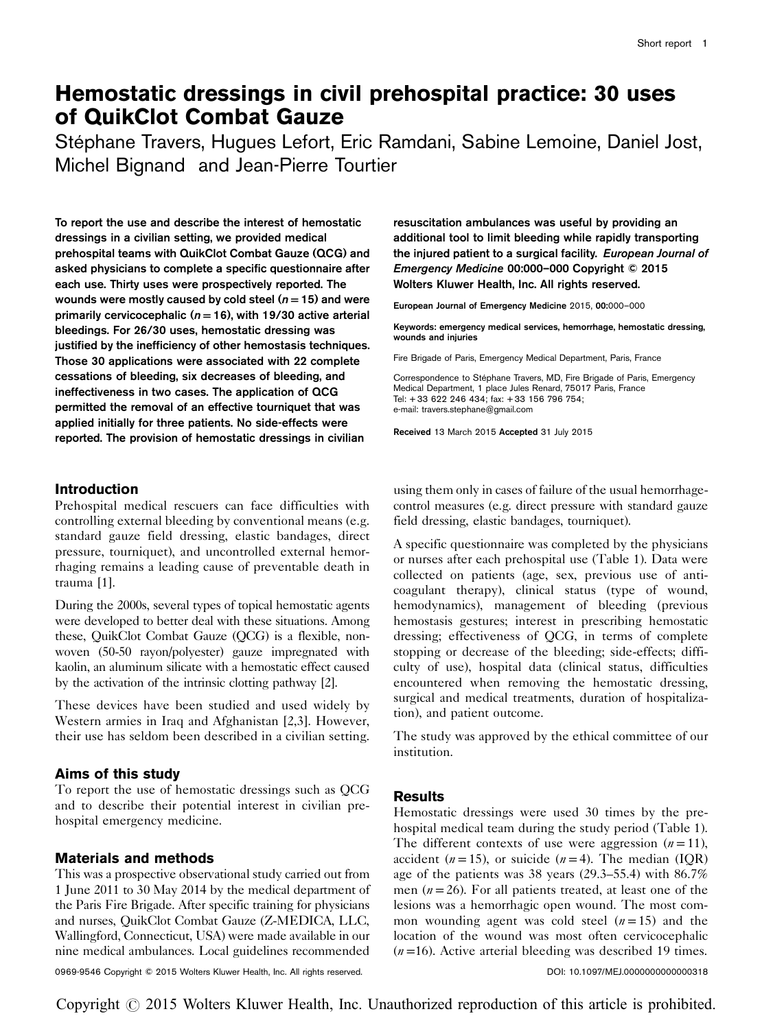# Hemostatic dressings in civil prehospital practice: 30 uses of QuikClot Combat Gauze

Stéphane Travers, Hugues Lefort, Eric Ramdani, Sabine Lemoine, Daniel Jost, Michel Bignand and Jean-Pierre Tourtier

To report the use and describe the interest of hemostatic dressings in a civilian setting, we provided medical prehospital teams with QuikClot Combat Gauze (QCG) and asked physicians to complete a specific questionnaire after each use. Thirty uses were prospectively reported. The wounds were mostly caused by cold steel ( $n = 15$ ) and were primarily cervicocephalic ( $n = 16$ ), with 19/30 active arterial bleedings. For 26/30 uses, hemostatic dressing was justified by the inefficiency of other hemostasis techniques. Those 30 applications were associated with 22 complete cessations of bleeding, six decreases of bleeding, and ineffectiveness in two cases. The application of QCG permitted the removal of an effective tourniquet that was applied initially for three patients. No side-effects were reported. The provision of hemostatic dressings in civilian

#### Introduction

Prehospital medical rescuers can face difficulties with controlling external bleeding by conventional means (e.g. standard gauze field dressing, elastic bandages, direct pressure, tourniquet), and uncontrolled external hemorrhaging remains a leading cause of preventable death in trauma [\[1](#page-4-0)].

During the 2000s, several types of topical hemostatic agents were developed to better deal with these situations. Among these, QuikClot Combat Gauze (QCG) is a flexible, nonwoven (50-50 rayon/polyester) gauze impregnated with kaolin, an aluminum silicate with a hemostatic effect caused by the activation of the intrinsic clotting pathway [\[2](#page-4-0)].

These devices have been studied and used widely by Western armies in Iraq and Afghanistan [\[2](#page-4-0),[3\]](#page-4-0). However, their use has seldom been described in a civilian setting.

#### Aims of this study

To report the use of hemostatic dressings such as QCG and to describe their potential interest in civilian prehospital emergency medicine.

#### Materials and methods

This was a prospective observational study carried out from 1 June 2011 to 30 May 2014 by the medical department of the Paris Fire Brigade. After specific training for physicians and nurses, QuikClot Combat Gauze (Z-MEDICA, LLC, Wallingford, Connecticut, USA) were made available in our nine medical ambulances. Local guidelines recommended

0969-9546 Copyright © 2015 Wolters Kluwer Health, Inc. All rights reserved. <br>
0969-9546 Copyright © 2015 Wolters Kluwer Health, Inc. All rights reserved.

resuscitation ambulances was useful by providing an additional tool to limit bleeding while rapidly transporting the injured patient to a surgical facility. European Journal of Emergency Medicine 00:000–000 Copyright © 2015 Wolters Kluwer Health, Inc. All rights reserved.

European Journal of Emergency Medicine 2015, 00:000–000

Keywords: emergency medical services, hemorrhage, hemostatic dressing, wounds and injuries

Fire Brigade of Paris, Emergency Medical Department, Paris, France

Correspondence to Stéphane Travers, MD, Fire Brigade of Paris, Emergency Medical Department, 1 place Jules Renard, 75017 Paris, France Tel: + 33 622 246 434; fax: + 33 156 796 754; e-mail: [travers.stephane@gmail.com](mailto:travers.stephane@gmail.com)

Received 13 March 2015 Accepted 31 July 2015

using them only in cases of failure of the usual hemorrhagecontrol measures (e.g. direct pressure with standard gauze field dressing, elastic bandages, tourniquet).

A specific questionnaire was completed by the physicians or nurses after each prehospital use [\(Table 1](#page-2-0)). Data were collected on patients (age, sex, previous use of anticoagulant therapy), clinical status (type of wound, hemodynamics), management of bleeding (previous hemostasis gestures; interest in prescribing hemostatic dressing; effectiveness of QCG, in terms of complete stopping or decrease of the bleeding; side-effects; difficulty of use), hospital data (clinical status, difficulties encountered when removing the hemostatic dressing, surgical and medical treatments, duration of hospitalization), and patient outcome.

The study was approved by the ethical committee of our institution.

#### **Results**

Hemostatic dressings were used 30 times by the prehospital medical team during the study period [\(Table 1](#page-2-0)). The different contexts of use were aggression  $(n=11)$ , accident ( $n = 15$ ), or suicide ( $n = 4$ ). The median (IQR) age of the patients was 38 years (29.3–55.4) with 86.7% men ( $n = 26$ ). For all patients treated, at least one of the lesions was a hemorrhagic open wound. The most common wounding agent was cold steel  $(n=15)$  and the location of the wound was most often cervicocephalic  $(n=16)$ . Active arterial bleeding was described 19 times.

Copyright © 2015 Wolters Kluwer Health, Inc. Unauthorized reproduction of this article is prohibited.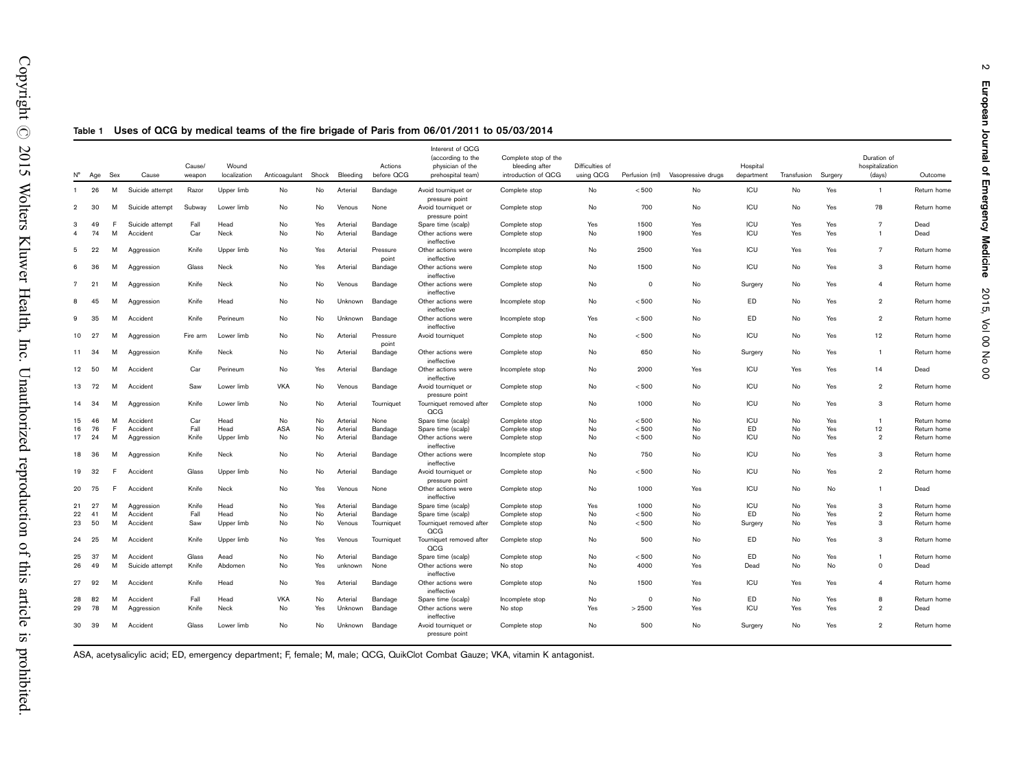<span id="page-2-0"></span>

|  |  |  | Table 1 Uses of QCG by medical teams of the fire brigade of Paris from 06/01/2011 to 05/03/2014 |
|--|--|--|-------------------------------------------------------------------------------------------------|
|--|--|--|-------------------------------------------------------------------------------------------------|

| N°            | Age      | Sex | Cause                       | Cause/<br>weapon | Wound<br>localization | Anticoagulant | Shock     | Bleeding             | Actions<br>before QCG | Intererst of QCG<br>(according to the<br>physician of the<br>prehospital team) | Complete stop of the<br>bleeding after<br>introduction of QCG | Difficulties of<br>using QCG | Perfusion (ml) | Vasopressive drugs | Hospital<br>department | Transfusion | Surgery    | Duration of<br>hospitalization<br>(days) | Outcome      |
|---------------|----------|-----|-----------------------------|------------------|-----------------------|---------------|-----------|----------------------|-----------------------|--------------------------------------------------------------------------------|---------------------------------------------------------------|------------------------------|----------------|--------------------|------------------------|-------------|------------|------------------------------------------|--------------|
|               | 26       | м   | Suicide attempt             | Razor            | Upper limb            | No            | No        | Arterial             | Bandage               | Avoid tourniquet or<br>pressure point                                          | Complete stop                                                 | No                           | < 500          | No                 | ICU                    | No          | Yes        | $\mathbf{1}$                             | Return home  |
| $\mathcal{P}$ | -30      | м   | Suicide attempt             | Subway           | Lower limb            | No            | No        | Venous               | None                  | Avoid tourniquet or<br>pressure point                                          | Complete stop                                                 | No                           | 700            | No                 | ICU                    | No          | Yes        | 78                                       | Return home  |
|               | 49<br>74 | M   | Suicide attempt<br>Accident | Fall<br>Car      | Head<br>Neck          | No<br>No      | Yes<br>No | Arterial<br>Arterial | Bandage<br>Bandage    | Spare time (scalp)<br>Other actions were                                       | Complete stop<br>Complete stop                                | Yes<br>No                    | 1500<br>1900   | Yes<br>Yes         | ICU<br>ICU             | Yes<br>Yes  | Yes<br>Yes | $\overline{7}$<br>$\mathbf{1}$           | Dead<br>Dead |
|               |          |     |                             |                  |                       |               |           |                      |                       | ineffective                                                                    |                                                               |                              |                |                    |                        |             |            |                                          |              |
| 5             | 22       | м   | Aggression                  | Knife            | Upper limb            | No            | Yes       | Arterial             | Pressure<br>point     | Other actions were<br>ineffective                                              | Incomplete stop                                               | No                           | 2500           | Yes                | ICU                    | Yes         | Yes        | 7                                        | Return home  |
| 6             | 36       | M   | Aggression                  | Glass            | Neck                  | No            | Yes       | Arterial             | Bandage               | Other actions were<br>ineffective                                              | Complete stop                                                 | No                           | 1500           | No                 | ICU                    | <b>No</b>   | Yes        | 3                                        | Return home  |
| 7             | 21       | м   | Aggression                  | Knife            | Neck                  | No            | No        | Venous               | Bandage               | Other actions were<br>ineffective                                              | Complete stop                                                 | No                           | $\Omega$       | No                 | Surgery                | <b>No</b>   | Yes        | $\overline{4}$                           | Return home  |
| 8             | 45       | M   | Aggression                  | Knife            | Head                  | No            | No        | Unknown              | Bandage               | Other actions were<br>ineffective                                              | Incomplete stop                                               | No                           | < 500          | No                 | ED                     | <b>No</b>   | Yes        | $\overline{2}$                           | Return home  |
| 9             | 35       | м   | Accident                    | Knife            | Perineum              | No            | No        | Unknown              | Bandage               | Other actions were<br>ineffective                                              | Incomplete stop                                               | Yes                          | < 500          | No                 | ED                     | <b>No</b>   | Yes        | $\overline{2}$                           | Return home  |
| 10            | 27       | M   | Aggression                  | Fire arm         | Lower limb            | No            | No        | Arterial             | Pressure<br>point     | Avoid tourniquet                                                               | Complete stop                                                 | No                           | < 500          | No                 | ICU                    | <b>No</b>   | Yes        | 12                                       | Return home  |
|               | 11 34    | м   | Aggression                  | Knife            | Neck                  | No            | No        | Arterial             | Bandage               | Other actions were<br>ineffective                                              | Complete stop                                                 | No                           | 650            | No                 | Surgery                | No          | Yes        | $\overline{1}$                           | Return home  |
|               | 12 50    | M   | Accident                    | Car              | Perineum              | No            | Yes       | Arterial             | Bandage               | Other actions were<br>ineffective                                              | Incomplete stop                                               | No                           | 2000           | Yes                | ICU                    | Yes         | Yes        | 14                                       | Dead         |
| 13            | 72       | M   | Accident                    | Saw              | Lower limb            | <b>VKA</b>    | No        | Venous               | Bandage               | Avoid tourniquet or<br>pressure point                                          | Complete stop                                                 | No                           | < 500          | No                 | ICU                    | No          | Yes        | $\overline{2}$                           | Return home  |
|               | 14 34    | M   | Aggression                  | Knife            | Lower limb            | No            | No        | Arterial             | Tourniquet            | Tourniquet removed after<br>CCG                                                | Complete stop                                                 | No                           | 1000           | No                 | ICU                    | No          | Yes        | 3                                        | Return home  |
| 15            | 46       | м   | Accident                    | Car              | Head                  | No            | No        | Arterial             | None                  | Spare time (scalp)                                                             | Complete stop                                                 | No                           | < 500          | No                 | ICU                    | <b>No</b>   | Yes        | 1                                        | Return home  |
| 16            | 76       |     | Accident                    | Fall             | Head                  | ASA           | No        | Arterial             | Bandage               | Spare time (scalp)                                                             | Complete stop                                                 | No                           | < 500          | No                 | ED                     | No          | Yes        | 12                                       | Return home  |
| 17            | 24       | M   | Aggression                  | Knife            | Upper limb            | No            | No        | Arterial             | Bandage               | Other actions were<br>ineffective                                              | Complete stop                                                 | No                           | < 500          | No                 | ICU                    | No          | Yes        | $\overline{2}$                           | Return home  |
| 18            | 36       | м   | Aggression                  | Knife            | Neck                  | No            | No        | Arterial             | Bandage               | Other actions were<br>ineffective                                              | Incomplete stop                                               | No                           | 750            | No                 | ICU                    | <b>No</b>   | Yes        | 3                                        | Return home  |
| 19            | 32       |     | Accident                    | Glass            | Upper limb            | No            | No        | Arterial             | Bandage               | Avoid tourniquet or<br>pressure point                                          | Complete stop                                                 | No                           | < 500          | No                 | ICU                    | No          | Yes        | $\overline{2}$                           | Return home  |
| 20            | 75       |     | Accident                    | Knife            | Neck                  | No            | Yes       | Venous               | None                  | Other actions were<br>ineffective                                              | Complete stop                                                 | No                           | 1000           | Yes                | ICU                    | <b>No</b>   | No         | $\overline{1}$                           | Dead         |
| 21            | 27       | м   | Aggression                  | Knife            | Head                  | No            | Yes       | Arterial             | Bandage               | Spare time (scalp)                                                             | Complete stop                                                 | Yes                          | 1000           | No                 | ICU                    | No          | Yes        | 3                                        | Return home  |
| 22            | 41       | M   | Accident                    | Fall             | Head                  | No            | No        | Arterial             | Bandage               | Spare time (scalp)                                                             | Complete stop                                                 | No                           | < 500          | No                 | ED                     | No          | Yes        | $\overline{2}$                           | Return home  |
| 23            | 50       | M   | Accident                    | Saw              | Upper limb            | No            | <b>No</b> | Venous               | Tourniquet            | Tourniquet removed after<br>QCG                                                | Complete stop                                                 | No                           | < 500          | No                 | Surgery                | No          | Yes        | 3                                        | Return home  |
| 24            | 25       | м   | Accident                    | Knife            | Upper limb            | No            | Yes       | Venous               | Tourniquet            | Tourniquet removed after<br>OCG                                                | Complete stop                                                 | No                           | 500            | No                 | ED                     | <b>No</b>   | Yes        | 3                                        | Return home  |
| 25            | 37       | M   | Accident                    | Glass            | Aead                  | No            | No        | Arterial             | Bandage               | Spare time (scalp)                                                             | Complete stop                                                 | No                           | < 500          | No                 | ED                     | No          | Yes        | 1                                        | Return home  |
| 26            | 49       | M   | Suicide attempt             | Knife            | Abdomen               | No            | Yes       | unknown              | None                  | Other actions were<br>ineffective                                              | No stop                                                       | No                           | 4000           | Yes                | Dead                   | <b>No</b>   | No         | $\mathbf 0$                              | Dead         |
| 27            | 92       | M   | Accident                    | Knife            | Head                  | No            | Yes       | Arterial             | Bandage               | Other actions were<br>ineffective                                              | Complete stop                                                 | No                           | 1500           | Yes                | ICU                    | Yes         | Yes        | $\overline{4}$                           | Return home  |
| 28            | 82       | M   | Accident                    | Fall             | Head                  | <b>VKA</b>    | No        | Arterial             | Bandage               | Spare time (scalp)                                                             | Incomplete stop                                               | No                           | $\Omega$       | No                 | ED                     | <b>No</b>   | Yes        | 8                                        | Return home  |
| 29            | 78       | M   | Aggression                  | Knife            | Neck                  | No            | Yes       | Unknown              | Bandage               | Other actions were<br>ineffective                                              | No stop                                                       | Yes                          | >2500          | Yes                | ICU                    | Yes         | Yes        | $\overline{2}$                           | Dead         |
|               | 30 39    | M   | Accident                    | Glass            | Lower limb            | No            | No        | Unknown              | Bandage               | Avoid tourniquet or<br>pressure point                                          | Complete stop                                                 | <b>No</b>                    | 500            | No                 | Surgery                | <b>No</b>   | Yes        | $\overline{2}$                           | Return home  |

ASA, acetysalicylic acid; ED, emergency department; F, female; M, male; QCG, QuikClot Combat Gauze; VKA, vitamin K antagonist.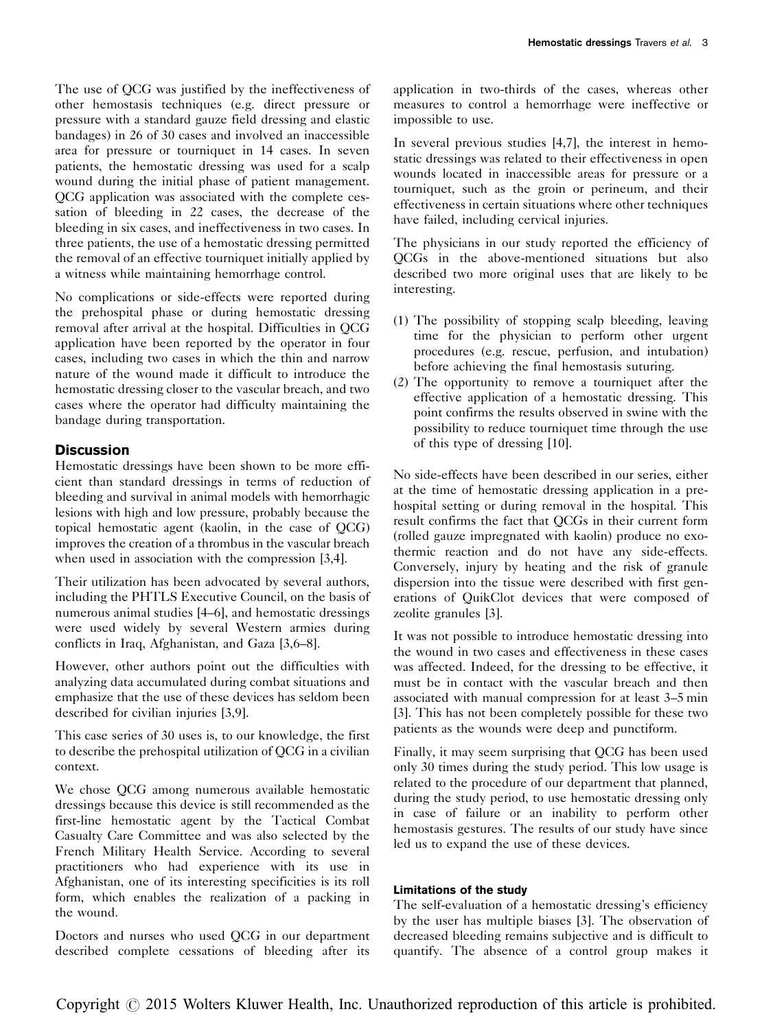The use of QCG was justified by the ineffectiveness of other hemostasis techniques (e.g. direct pressure or pressure with a standard gauze field dressing and elastic bandages) in 26 of 30 cases and involved an inaccessible area for pressure or tourniquet in 14 cases. In seven patients, the hemostatic dressing was used for a scalp wound during the initial phase of patient management. QCG application was associated with the complete cessation of bleeding in 22 cases, the decrease of the bleeding in six cases, and ineffectiveness in two cases. In three patients, the use of a hemostatic dressing permitted the removal of an effective tourniquet initially applied by a witness while maintaining hemorrhage control.

No complications or side-effects were reported during the prehospital phase or during hemostatic dressing removal after arrival at the hospital. Difficulties in QCG application have been reported by the operator in four cases, including two cases in which the thin and narrow nature of the wound made it difficult to introduce the hemostatic dressing closer to the vascular breach, and two cases where the operator had difficulty maintaining the bandage during transportation.

### **Discussion**

Hemostatic dressings have been shown to be more efficient than standard dressings in terms of reduction of bleeding and survival in animal models with hemorrhagic lesions with high and low pressure, probably because the topical hemostatic agent (kaolin, in the case of QCG) improves the creation of a thrombus in the vascular breach when used in association with the compression [\[3,4](#page-4-0)].

Their utilization has been advocated by several authors, including the PHTLS Executive Council, on the basis of numerous animal studies [\[4](#page-4-0)–[6\]](#page-4-0), and hemostatic dressings were used widely by several Western armies during conflicts in Iraq, Afghanistan, and Gaza [\[3](#page-4-0),[6](#page-4-0)–[8\]](#page-4-0).

However, other authors point out the difficulties with analyzing data accumulated during combat situations and emphasize that the use of these devices has seldom been described for civilian injuries [\[3](#page-4-0),[9\]](#page-4-0).

This case series of 30 uses is, to our knowledge, the first to describe the prehospital utilization of QCG in a civilian context.

We chose QCG among numerous available hemostatic dressings because this device is still recommended as the first-line hemostatic agent by the Tactical Combat Casualty Care Committee and was also selected by the French Military Health Service. According to several practitioners who had experience with its use in Afghanistan, one of its interesting specificities is its roll form, which enables the realization of a packing in the wound.

Doctors and nurses who used QCG in our department described complete cessations of bleeding after its

application in two-thirds of the cases, whereas other measures to control a hemorrhage were ineffective or impossible to use.

In several previous studies [\[4,7](#page-4-0)], the interest in hemostatic dressings was related to their effectiveness in open wounds located in inaccessible areas for pressure or a tourniquet, such as the groin or perineum, and their effectiveness in certain situations where other techniques have failed, including cervical injuries.

The physicians in our study reported the efficiency of QCGs in the above-mentioned situations but also described two more original uses that are likely to be interesting.

- (1) The possibility of stopping scalp bleeding, leaving time for the physician to perform other urgent procedures (e.g. rescue, perfusion, and intubation) before achieving the final hemostasis suturing.
- (2) The opportunity to remove a tourniquet after the effective application of a hemostatic dressing. This point confirms the results observed in swine with the possibility to reduce tourniquet time through the use of this type of dressing [\[10](#page-4-0)].

No side-effects have been described in our series, either at the time of hemostatic dressing application in a prehospital setting or during removal in the hospital. This result confirms the fact that QCGs in their current form (rolled gauze impregnated with kaolin) produce no exothermic reaction and do not have any side-effects. Conversely, injury by heating and the risk of granule dispersion into the tissue were described with first generations of QuikClot devices that were composed of zeolite granules [\[3\]](#page-4-0).

It was not possible to introduce hemostatic dressing into the wound in two cases and effectiveness in these cases was affected. Indeed, for the dressing to be effective, it must be in contact with the vascular breach and then associated with manual compression for at least 3–5 min [\[3](#page-4-0)]. This has not been completely possible for these two patients as the wounds were deep and punctiform.

Finally, it may seem surprising that QCG has been used only 30 times during the study period. This low usage is related to the procedure of our department that planned, during the study period, to use hemostatic dressing only in case of failure or an inability to perform other hemostasis gestures. The results of our study have since led us to expand the use of these devices.

#### Limitations of the study

The self-evaluation of a hemostatic dressing's efficiency by the user has multiple biases [\[3](#page-4-0)]. The observation of decreased bleeding remains subjective and is difficult to quantify. The absence of a control group makes it

Copyright © 2015 Wolters Kluwer Health, Inc. Unauthorized reproduction of this article is prohibited.